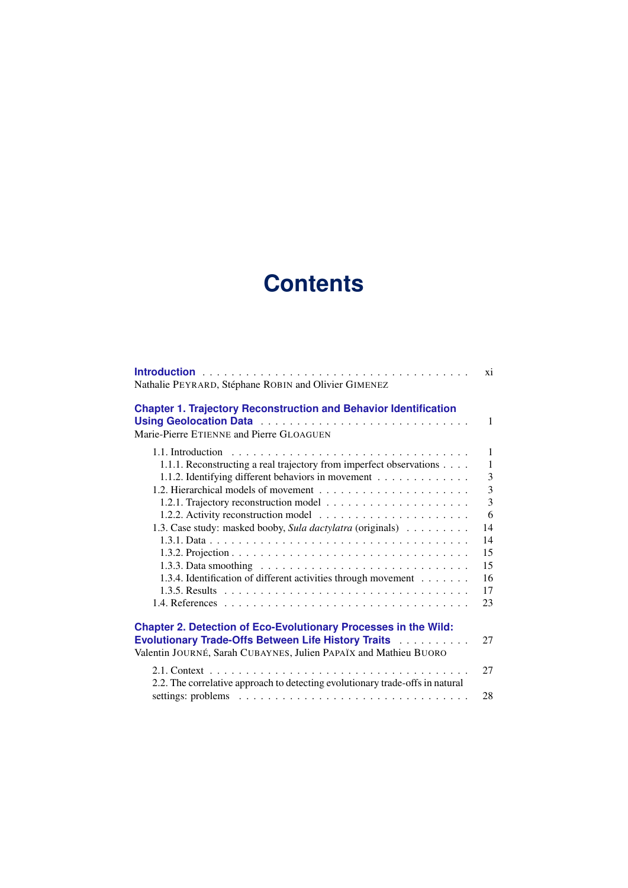## **Contents**

| Nathalie PEYRARD, Stéphane ROBIN and Olivier GIMENEZ                                                                                        | xi             |
|---------------------------------------------------------------------------------------------------------------------------------------------|----------------|
| <b>Chapter 1. Trajectory Reconstruction and Behavior Identification</b><br>Marie-Pierre ETIENNE and Pierre GLOAGUEN                         | $\mathbf{1}$   |
| 1.1. Introduction                                                                                                                           | 1              |
| 1.1.1. Reconstructing a real trajectory from imperfect observations                                                                         | $\mathbf{1}$   |
| 1.1.2. Identifying different behaviors in movement                                                                                          | 3              |
|                                                                                                                                             | 3              |
|                                                                                                                                             | $\overline{3}$ |
|                                                                                                                                             | 6              |
| 1.3. Case study: masked booby, Sula dactylatra (originals)                                                                                  | 14             |
|                                                                                                                                             | 14             |
|                                                                                                                                             | 15             |
|                                                                                                                                             | 15             |
| 1.3.4. Identification of different activities through movement                                                                              | 16             |
|                                                                                                                                             | 17             |
|                                                                                                                                             | 23             |
| <b>Chapter 2. Detection of Eco-Evolutionary Processes in the Wild:</b>                                                                      |                |
| <b>Evolutionary Trade-Offs Between Life History Traits Actual Lines</b><br>Valentin JOURNÉ, Sarah CUBAYNES, Julien PAPAÏX and Mathieu BUORO | 27             |
| 2.2. The correlative approach to detecting evolutionary trade-offs in natural                                                               | 27             |
|                                                                                                                                             | 28             |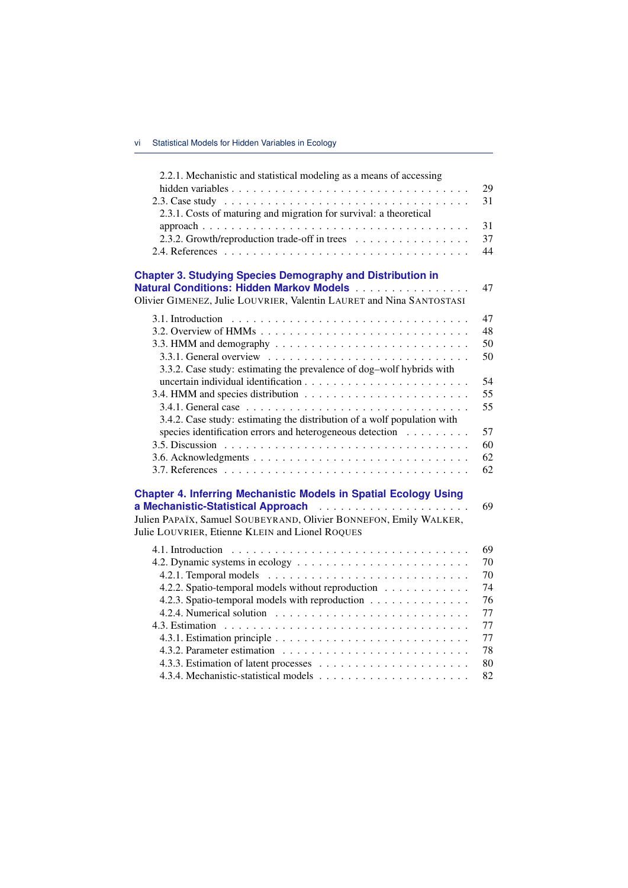| 2.2.1. Mechanistic and statistical modeling as a means of accessing                                 |    |
|-----------------------------------------------------------------------------------------------------|----|
|                                                                                                     | 29 |
|                                                                                                     | 31 |
| 2.3.1. Costs of maturing and migration for survival: a theoretical                                  |    |
|                                                                                                     | 31 |
| 2.3.2. Growth/reproduction trade-off in trees                                                       | 37 |
|                                                                                                     | 44 |
|                                                                                                     |    |
| <b>Chapter 3. Studying Species Demography and Distribution in</b>                                   |    |
| Natural Conditions: Hidden Markov Models                                                            | 47 |
| Olivier GIMENEZ, Julie LOUVRIER, Valentin LAURET and Nina SANTOSTASI                                |    |
|                                                                                                     | 47 |
|                                                                                                     | 48 |
| 3.3. HMM and demography $\ldots \ldots \ldots \ldots \ldots \ldots \ldots \ldots \ldots$            | 50 |
| 3.3.1. General overview $\ldots \ldots \ldots \ldots \ldots \ldots \ldots \ldots \ldots$            | 50 |
| 3.3.2. Case study: estimating the prevalence of dog-wolf hybrids with                               |    |
|                                                                                                     | 54 |
|                                                                                                     | 55 |
|                                                                                                     | 55 |
| 3.4.2. Case study: estimating the distribution of a wolf population with                            |    |
| species identification errors and heterogeneous detection                                           | 57 |
|                                                                                                     | 60 |
|                                                                                                     | 62 |
|                                                                                                     | 62 |
|                                                                                                     |    |
| <b>Chapter 4. Inferring Mechanistic Models in Spatial Ecology Using</b>                             |    |
|                                                                                                     | 69 |
| Julien PAPAÏX, Samuel SOUBEYRAND, Olivier BONNEFON, Emily WALKER,                                   |    |
| Julie LOUVRIER, Etienne KLEIN and Lionel ROQUES                                                     |    |
|                                                                                                     | 69 |
|                                                                                                     | 70 |
|                                                                                                     | 70 |
| 4.2.2. Spatio-temporal models without reproduction                                                  | 74 |
| 4.2.3. Spatio-temporal models with reproduction                                                     | 76 |
| 4.2.4. Numerical solution $\ldots \ldots \ldots \ldots \ldots \ldots \ldots \ldots$                 | 77 |
|                                                                                                     | 77 |
| 4.3.1. Estimation principle $\ldots \ldots \ldots \ldots \ldots \ldots \ldots \ldots \ldots \ldots$ | 77 |
|                                                                                                     | 78 |
|                                                                                                     | 80 |
|                                                                                                     | 82 |
|                                                                                                     |    |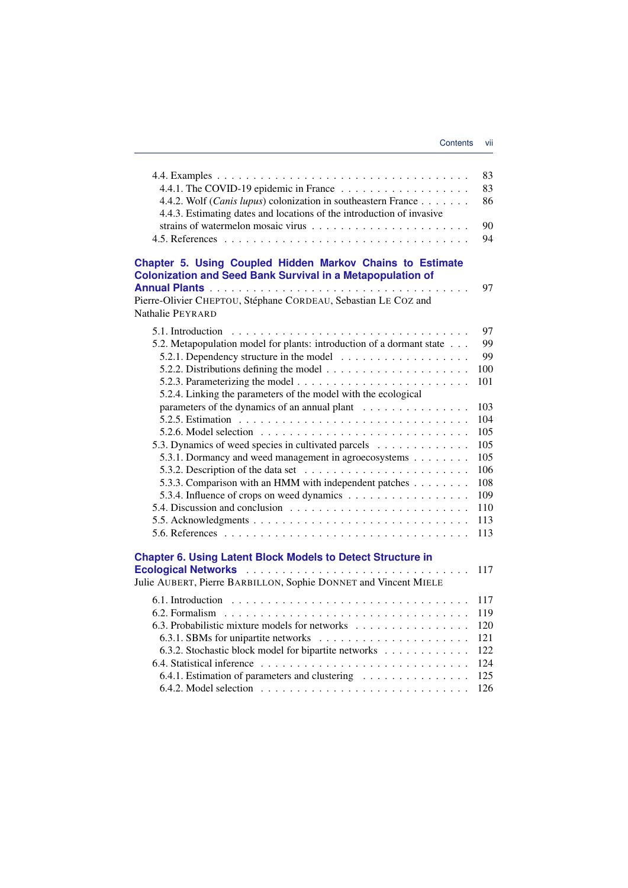| 4.4.2. Wolf (Canis lupus) colonization in southeastern France<br>4.4.3. Estimating dates and locations of the introduction of invasive                                                                               | 83<br>83<br>86<br>90<br>94 |
|----------------------------------------------------------------------------------------------------------------------------------------------------------------------------------------------------------------------|----------------------------|
| Chapter 5. Using Coupled Hidden Markov Chains to Estimate<br><b>Colonization and Seed Bank Survival in a Metapopulation of</b><br>Pierre-Olivier CHEPTOU, Stéphane CORDEAU, Sebastian LE COZ and<br>Nathalie PEYRARD | 97                         |
|                                                                                                                                                                                                                      | 97                         |
| 5.2. Metapopulation model for plants: introduction of a dormant state                                                                                                                                                | 99                         |
|                                                                                                                                                                                                                      | 99                         |
|                                                                                                                                                                                                                      | 100                        |
|                                                                                                                                                                                                                      | 101                        |
| 5.2.4. Linking the parameters of the model with the ecological                                                                                                                                                       |                            |
| parameters of the dynamics of an annual plant                                                                                                                                                                        | 103                        |
|                                                                                                                                                                                                                      | 104                        |
|                                                                                                                                                                                                                      | 105                        |
| 5.3. Dynamics of weed species in cultivated parcels                                                                                                                                                                  | 105                        |
| 5.3.1. Dormancy and weed management in agroecosystems                                                                                                                                                                | 105                        |
| 5.3.2. Description of the data set $\ldots \ldots \ldots \ldots \ldots \ldots$                                                                                                                                       | 106                        |
| 5.3.3. Comparison with an HMM with independent patches                                                                                                                                                               | 108                        |
|                                                                                                                                                                                                                      | 109                        |
|                                                                                                                                                                                                                      | 110                        |
|                                                                                                                                                                                                                      | 113                        |
|                                                                                                                                                                                                                      | 113                        |
| <b>Chapter 6. Using Latent Block Models to Detect Structure in</b><br>Julie AUBERT, Pierre BARBILLON, Sophie DONNET and Vincent MIELE                                                                                | 117                        |
|                                                                                                                                                                                                                      | 117                        |
|                                                                                                                                                                                                                      | 119                        |
| 6.3. Probabilistic mixture models for networks                                                                                                                                                                       | 120                        |
|                                                                                                                                                                                                                      | 121                        |
| 6.3.2. Stochastic block model for bipartite networks                                                                                                                                                                 | 122                        |
|                                                                                                                                                                                                                      | 124                        |
| 6.4.1. Estimation of parameters and clustering                                                                                                                                                                       | 125                        |
|                                                                                                                                                                                                                      | 126                        |
|                                                                                                                                                                                                                      |                            |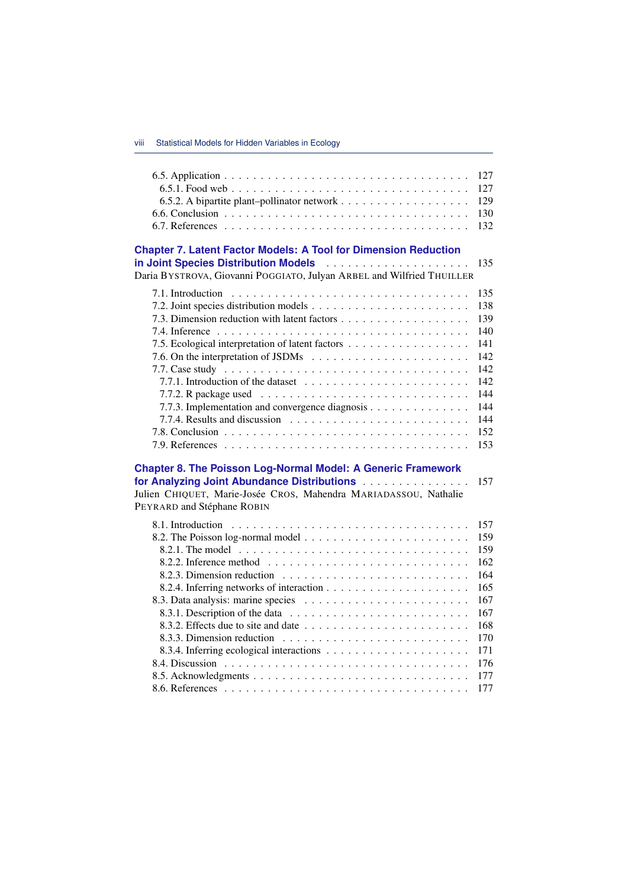|                                                                                                                                                                                                                                               | 127 |
|-----------------------------------------------------------------------------------------------------------------------------------------------------------------------------------------------------------------------------------------------|-----|
|                                                                                                                                                                                                                                               | 127 |
|                                                                                                                                                                                                                                               | 129 |
|                                                                                                                                                                                                                                               | 130 |
|                                                                                                                                                                                                                                               | 132 |
| <b>Chapter 7. Latent Factor Models: A Tool for Dimension Reduction</b><br>in Joint Species Distribution Models <b>Constant Container Species</b> Distribution Models<br>Daria BYSTROVA, Giovanni POGGIATO, Julyan ARBEL and Wilfried THUILLER | 135 |
|                                                                                                                                                                                                                                               | 135 |
|                                                                                                                                                                                                                                               | 138 |
|                                                                                                                                                                                                                                               | 139 |
|                                                                                                                                                                                                                                               | 140 |
| 7.5. Ecological interpretation of latent factors                                                                                                                                                                                              | 141 |
|                                                                                                                                                                                                                                               | 142 |
|                                                                                                                                                                                                                                               | 142 |
|                                                                                                                                                                                                                                               | 142 |
|                                                                                                                                                                                                                                               | 144 |
| 7.7.3. Implementation and convergence diagnosis                                                                                                                                                                                               | 144 |
|                                                                                                                                                                                                                                               | 144 |
|                                                                                                                                                                                                                                               | 152 |
|                                                                                                                                                                                                                                               | 153 |
| <b>Chapter 8. The Poisson Log-Normal Model: A Generic Framework</b><br>for Analyzing Joint Abundance Distributions<br>Julien CHIQUET, Marie-Josée CROS, Mahendra MARIADASSOU, Nathalie<br>PEYRARD and Stéphane ROBIN                          | 157 |
|                                                                                                                                                                                                                                               | 157 |
|                                                                                                                                                                                                                                               | 159 |
|                                                                                                                                                                                                                                               | 159 |
|                                                                                                                                                                                                                                               | 162 |
|                                                                                                                                                                                                                                               | 164 |
|                                                                                                                                                                                                                                               | 165 |
|                                                                                                                                                                                                                                               | 167 |
|                                                                                                                                                                                                                                               | 167 |
|                                                                                                                                                                                                                                               | 168 |
|                                                                                                                                                                                                                                               | 170 |
|                                                                                                                                                                                                                                               | 171 |
|                                                                                                                                                                                                                                               | 176 |
|                                                                                                                                                                                                                                               | 177 |
|                                                                                                                                                                                                                                               | 177 |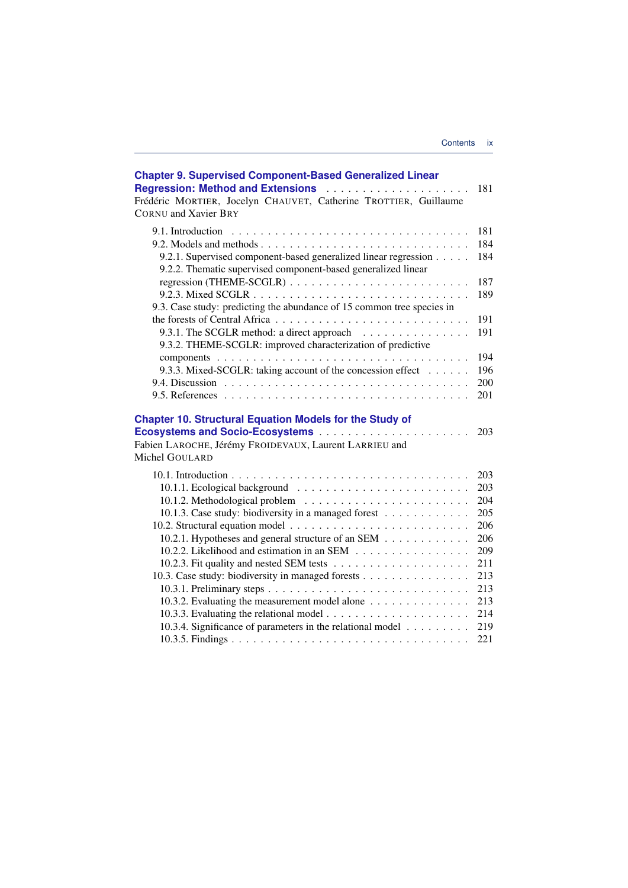| <b>Chapter 9. Supervised Component-Based Generalized Linear</b><br><b>Regression: Method and Extensions Activities:</b> Regression: Method and Extensions Activities: Activities<br>Frédéric MORTIER, Jocelyn CHAUVET, Catherine TROTTIER, Guillaume<br><b>CORNU</b> and Xavier BRY | 181                                                                              |
|-------------------------------------------------------------------------------------------------------------------------------------------------------------------------------------------------------------------------------------------------------------------------------------|----------------------------------------------------------------------------------|
| 9.1. Introduction<br>9.2.1. Supervised component-based generalized linear regression<br>9.2.2. Thematic supervised component-based generalized linear                                                                                                                               | 181<br>184<br>184                                                                |
| 9.3. Case study: predicting the abundance of 15 common tree species in                                                                                                                                                                                                              | 187<br>189                                                                       |
| 9.3.1. The SCGLR method: a direct approach<br>9.3.2. THEME-SCGLR: improved characterization of predictive                                                                                                                                                                           | 191<br>191                                                                       |
| 9.3.3. Mixed-SCGLR: taking account of the concession effect                                                                                                                                                                                                                         | 194<br>196<br>200<br>201                                                         |
| <b>Chapter 10. Structural Equation Models for the Study of</b><br>Fabien LAROCHE, Jérémy FROIDEVAUX, Laurent LARRIEU and<br>Michel GOULARD                                                                                                                                          | 203                                                                              |
| 10.1.3. Case study: biodiversity in a managed forest<br>10.2.1. Hypotheses and general structure of an SEM<br>10.2.2. Likelihood and estimation in an SEM<br>10.3. Case study: biodiversity in managed forests<br>10.3.2. Evaluating the measurement model alone                    | 203<br>203<br>204<br>205<br>206<br>206<br>209<br>211<br>213<br>213<br>213<br>214 |
| 10.3.4. Significance of parameters in the relational model                                                                                                                                                                                                                          | 219<br>221                                                                       |